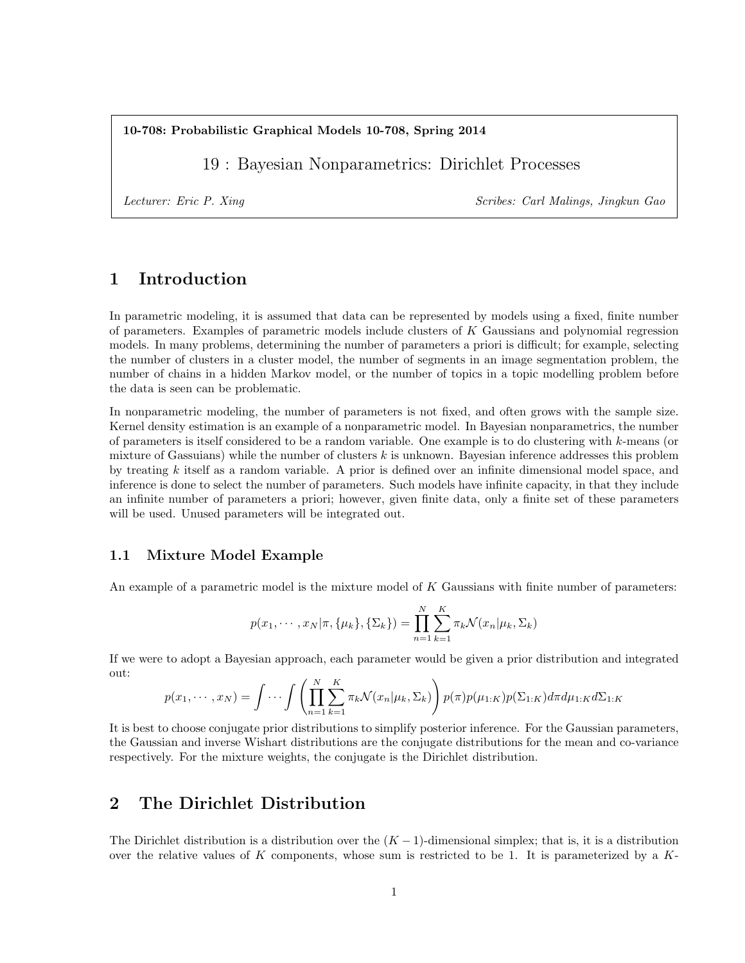10-708: Probabilistic Graphical Models 10-708, Spring 2014

19 : Bayesian Nonparametrics: Dirichlet Processes

Lecturer: Eric P. Xing Scribes: Carl Malings, Jingkun Gao

# 1 Introduction

In parametric modeling, it is assumed that data can be represented by models using a fixed, finite number of parameters. Examples of parametric models include clusters of K Gaussians and polynomial regression models. In many problems, determining the number of parameters a priori is difficult; for example, selecting the number of clusters in a cluster model, the number of segments in an image segmentation problem, the number of chains in a hidden Markov model, or the number of topics in a topic modelling problem before the data is seen can be problematic.

In nonparametric modeling, the number of parameters is not fixed, and often grows with the sample size. Kernel density estimation is an example of a nonparametric model. In Bayesian nonparametrics, the number of parameters is itself considered to be a random variable. One example is to do clustering with k-means (or mixture of Gassuians) while the number of clusters  $k$  is unknown. Bayesian inference addresses this problem by treating k itself as a random variable. A prior is defined over an infinite dimensional model space, and inference is done to select the number of parameters. Such models have infinite capacity, in that they include an infinite number of parameters a priori; however, given finite data, only a finite set of these parameters will be used. Unused parameters will be integrated out.

### 1.1 Mixture Model Example

An example of a parametric model is the mixture model of  $K$  Gaussians with finite number of parameters:

$$
p(x_1, \dots, x_N | \pi, \{\mu_k\}, \{\Sigma_k\}) = \prod_{n=1}^N \sum_{k=1}^K \pi_k \mathcal{N}(x_n | \mu_k, \Sigma_k)
$$

If we were to adopt a Bayesian approach, each parameter would be given a prior distribution and integrated out:

$$
p(x_1,\dots,x_N) = \int \dots \int \left(\prod_{n=1}^N \sum_{k=1}^K \pi_k \mathcal{N}(x_n | \mu_k, \Sigma_k)\right) p(\pi) p(\mu_{1:K}) p(\Sigma_{1:K}) d\pi d\mu_{1:K} d\Sigma_{1:K}
$$

It is best to choose conjugate prior distributions to simplify posterior inference. For the Gaussian parameters, the Gaussian and inverse Wishart distributions are the conjugate distributions for the mean and co-variance respectively. For the mixture weights, the conjugate is the Dirichlet distribution.

## 2 The Dirichlet Distribution

The Dirichlet distribution is a distribution over the  $(K-1)$ -dimensional simplex; that is, it is a distribution over the relative values of K components, whose sum is restricted to be 1. It is parameterized by a  $K$ -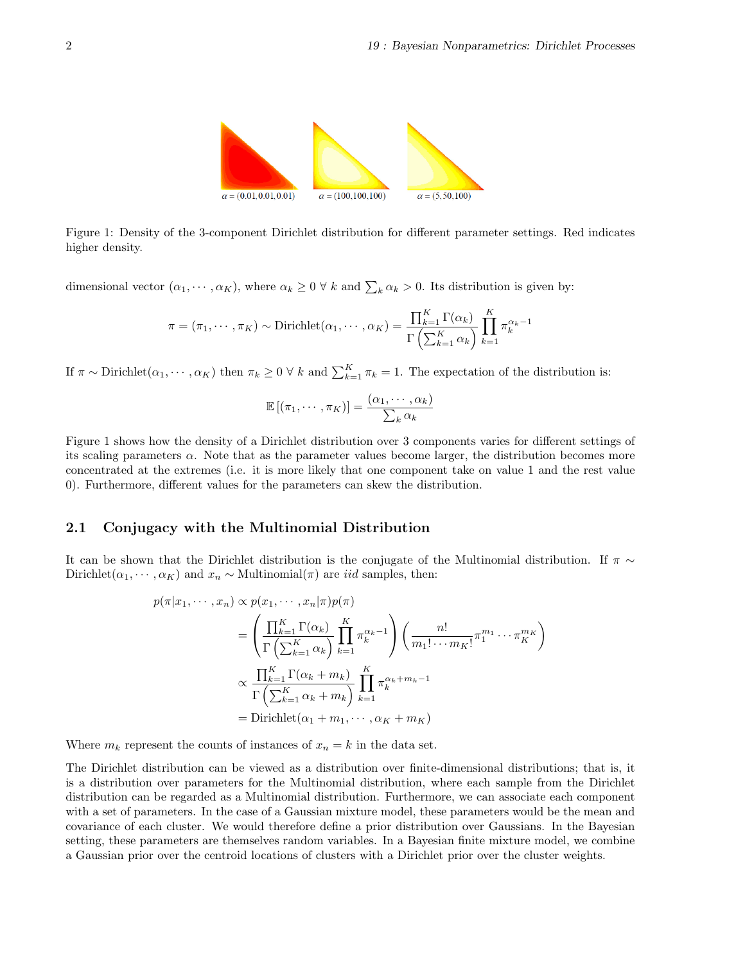

Figure 1: Density of the 3-component Dirichlet distribution for different parameter settings. Red indicates higher density.

dimensional vector  $(\alpha_1, \dots, \alpha_K)$ , where  $\alpha_k \geq 0 \forall k$  and  $\sum_k \alpha_k > 0$ . Its distribution is given by:

$$
\pi = (\pi_1, \cdots, \pi_K) \sim \text{Dirichlet}(\alpha_1, \cdots, \alpha_K) = \frac{\prod_{k=1}^K \Gamma(\alpha_k)}{\Gamma\left(\sum_{k=1}^K \alpha_k\right)} \prod_{k=1}^K \pi_k^{\alpha_k - 1}
$$

If  $\pi \sim \text{Dirichlet}(\alpha_1, \dots, \alpha_K)$  then  $\pi_k \geq 0 \forall k$  and  $\sum_{k=1}^K \pi_k = 1$ . The expectation of the distribution is:

$$
\mathbb{E}[(\pi_1, \cdots, \pi_K)] = \frac{(\alpha_1, \cdots, \alpha_k)}{\sum_k \alpha_k}
$$

Figure 1 shows how the density of a Dirichlet distribution over 3 components varies for different settings of its scaling parameters  $\alpha$ . Note that as the parameter values become larger, the distribution becomes more concentrated at the extremes (i.e. it is more likely that one component take on value 1 and the rest value 0). Furthermore, different values for the parameters can skew the distribution.

### 2.1 Conjugacy with the Multinomial Distribution

It can be shown that the Dirichlet distribution is the conjugate of the Multinomial distribution. If  $\pi \sim$ Dirichlet( $\alpha_1, \dots, \alpha_K$ ) and  $x_n \sim$  Multinomial( $\pi$ ) are *iid* samples, then:

$$
p(\pi|x_1, \dots, x_n) \propto p(x_1, \dots, x_n | \pi) p(\pi)
$$
  
= 
$$
\left(\frac{\prod_{k=1}^K \Gamma(\alpha_k)}{\Gamma\left(\sum_{k=1}^K \alpha_k\right)} \prod_{k=1}^K \pi_k^{\alpha_k - 1}\right) \left(\frac{n!}{m_1! \cdots m_K!} \pi_1^{m_1} \cdots \pi_K^{m_K}\right)
$$
  

$$
\propto \frac{\prod_{k=1}^K \Gamma(\alpha_k + m_k)}{\Gamma\left(\sum_{k=1}^K \alpha_k + m_k\right)} \prod_{k=1}^K \pi_k^{\alpha_k + m_k - 1}
$$
  
= Dirichlet( $\alpha_1 + m_1, \dots, \alpha_K + m_K$ )

Where  $m_k$  represent the counts of instances of  $x_n = k$  in the data set.

The Dirichlet distribution can be viewed as a distribution over finite-dimensional distributions; that is, it is a distribution over parameters for the Multinomial distribution, where each sample from the Dirichlet distribution can be regarded as a Multinomial distribution. Furthermore, we can associate each component with a set of parameters. In the case of a Gaussian mixture model, these parameters would be the mean and covariance of each cluster. We would therefore define a prior distribution over Gaussians. In the Bayesian setting, these parameters are themselves random variables. In a Bayesian finite mixture model, we combine a Gaussian prior over the centroid locations of clusters with a Dirichlet prior over the cluster weights.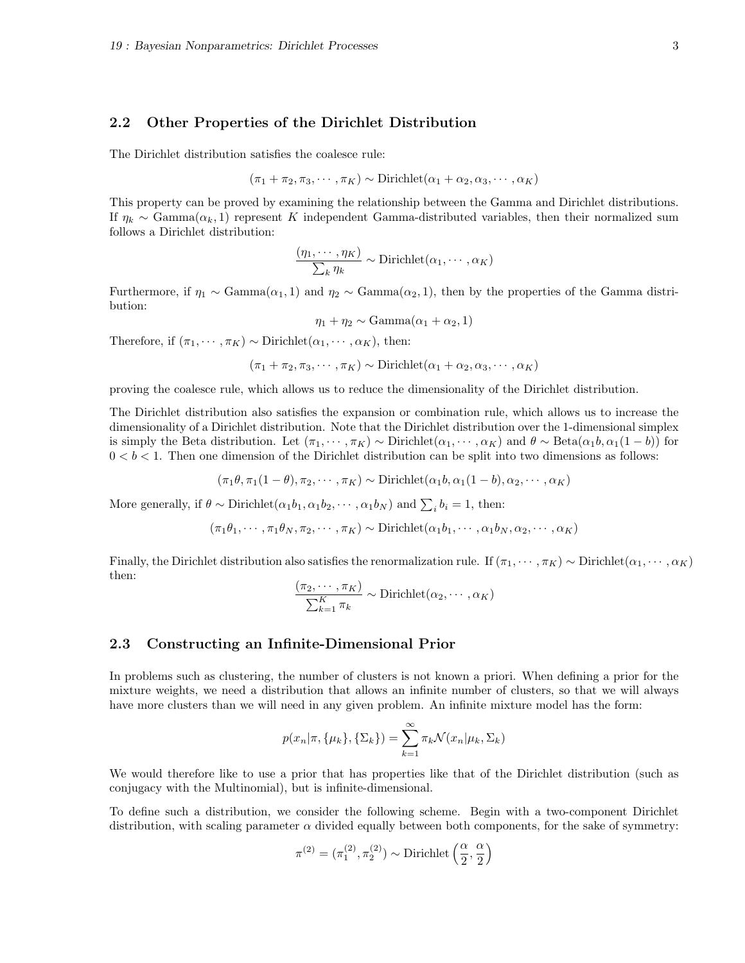#### 2.2 Other Properties of the Dirichlet Distribution

The Dirichlet distribution satisfies the coalesce rule:

$$
(\pi_1 + \pi_2, \pi_3, \cdots, \pi_K) \sim \text{Dirichlet}(\alpha_1 + \alpha_2, \alpha_3, \cdots, \alpha_K)
$$

This property can be proved by examining the relationship between the Gamma and Dirichlet distributions. If  $\eta_k \sim \text{Gamma}(\alpha_k, 1)$  represent K independent Gamma-distributed variables, then their normalized sum follows a Dirichlet distribution:

$$
\frac{(\eta_1, \cdots, \eta_K)}{\sum_k \eta_k} \sim \text{Dirichlet}(\alpha_1, \cdots, \alpha_K)
$$

Furthermore, if  $\eta_1 \sim \text{Gamma}(\alpha_1, 1)$  and  $\eta_2 \sim \text{Gamma}(\alpha_2, 1)$ , then by the properties of the Gamma distribution:

$$
\eta_1 + \eta_2 \sim \text{Gamma}(\alpha_1 + \alpha_2, 1)
$$

Therefore, if  $(\pi_1, \cdots, \pi_K) \sim \text{Dirichlet}(\alpha_1, \cdots, \alpha_K)$ , then:

$$
(\pi_1 + \pi_2, \pi_3, \cdots, \pi_K) \sim \text{Dirichlet}(\alpha_1 + \alpha_2, \alpha_3, \cdots, \alpha_K)
$$

proving the coalesce rule, which allows us to reduce the dimensionality of the Dirichlet distribution.

The Dirichlet distribution also satisfies the expansion or combination rule, which allows us to increase the dimensionality of a Dirichlet distribution. Note that the Dirichlet distribution over the 1-dimensional simplex is simply the Beta distribution. Let  $(\pi_1, \dots, \pi_K) \sim \text{Dirichlet}(\alpha_1, \dots, \alpha_K)$  and  $\theta \sim \text{Beta}(\alpha_1 b, \alpha_1 (1 - b))$  for  $0 < b < 1$ . Then one dimension of the Dirichlet distribution can be split into two dimensions as follows:

$$
(\pi_1 \theta, \pi_1(1-\theta), \pi_2, \cdots, \pi_K) \sim \text{Dirichlet}(\alpha_1 b, \alpha_1(1-b), \alpha_2, \cdots, \alpha_K)
$$

More generally, if  $\theta \sim \text{Dirichlet}(\alpha_1 b_1, \alpha_1 b_2, \cdots, \alpha_1 b_N)$  and  $\sum_i b_i = 1$ , then:

$$
(\pi_1 \theta_1, \cdots, \pi_1 \theta_N, \pi_2, \cdots, \pi_K) \sim \text{Dirichlet}(\alpha_1 \theta_1, \cdots, \alpha_1 \theta_N, \alpha_2, \cdots, \alpha_K)
$$

Finally, the Dirichlet distribution also satisfies the renormalization rule. If  $(\pi_1, \cdots, \pi_K) \sim$  Dirichlet $(\alpha_1, \cdots, \alpha_K)$ then:

$$
\frac{(\pi_2, \cdots, \pi_K)}{\sum_{k=1}^K \pi_k} \sim \text{Dirichlet}(\alpha_2, \cdots, \alpha_K)
$$

#### 2.3 Constructing an Infinite-Dimensional Prior

In problems such as clustering, the number of clusters is not known a priori. When defining a prior for the mixture weights, we need a distribution that allows an infinite number of clusters, so that we will always have more clusters than we will need in any given problem. An infinite mixture model has the form:

$$
p(x_n|\pi, \{\mu_k\}, \{\Sigma_k\}) = \sum_{k=1}^{\infty} \pi_k \mathcal{N}(x_n|\mu_k, \Sigma_k)
$$

We would therefore like to use a prior that has properties like that of the Dirichlet distribution (such as conjugacy with the Multinomial), but is infinite-dimensional.

To define such a distribution, we consider the following scheme. Begin with a two-component Dirichlet distribution, with scaling parameter  $\alpha$  divided equally between both components, for the sake of symmetry:

$$
\pi^{(2)}=(\pi^{(2)}_1,\pi^{(2)}_2)\sim\text{Dirichlet}\left(\frac{\alpha}{2},\frac{\alpha}{2}\right)
$$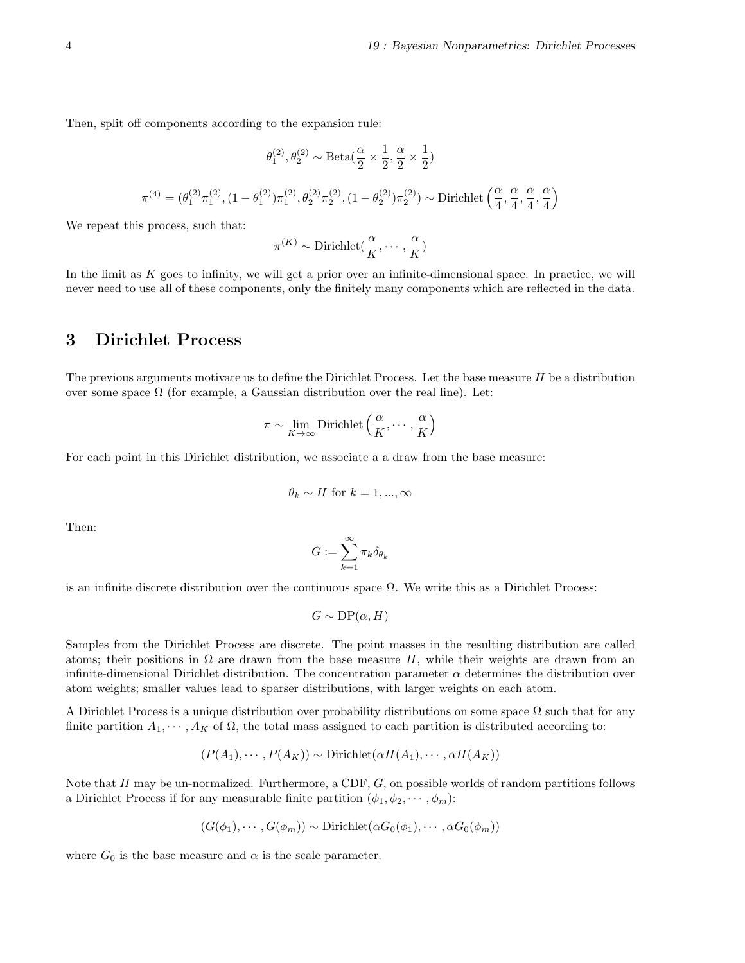Then, split off components according to the expansion rule:

$$
\theta_1^{(2)}, \theta_2^{(2)} \sim \text{Beta}\big(\frac{\alpha}{2} \times \frac{1}{2}, \frac{\alpha}{2} \times \frac{1}{2}\big)
$$
  

$$
\pi^{(4)} = (\theta_1^{(2)} \pi_1^{(2)}, (1 - \theta_1^{(2)}) \pi_1^{(2)}, \theta_2^{(2)} \pi_2^{(2)}, (1 - \theta_2^{(2)}) \pi_2^{(2)}) \sim \text{Dirichlet}\left(\frac{\alpha}{4}, \frac{\alpha}{4}, \frac{\alpha}{4}, \frac{\alpha}{4}\right)
$$

We repeat this process, such that:

$$
\pi^{(K)} \sim \text{Dirichlet}(\frac{\alpha}{K}, \cdots, \frac{\alpha}{K})
$$

In the limit as  $K$  goes to infinity, we will get a prior over an infinite-dimensional space. In practice, we will never need to use all of these components, only the finitely many components which are reflected in the data.

## 3 Dirichlet Process

The previous arguments motivate us to define the Dirichlet Process. Let the base measure H be a distribution over some space  $\Omega$  (for example, a Gaussian distribution over the real line). Let:

$$
\pi \sim \lim_{K \to \infty} \text{Dirichlet}\left(\frac{\alpha}{K}, \cdots, \frac{\alpha}{K}\right)
$$

For each point in this Dirichlet distribution, we associate a a draw from the base measure:

$$
\theta_k \sim H
$$
 for  $k = 1, ..., \infty$ 

Then:

$$
G:=\sum_{k=1}^\infty \pi_k \delta_{\theta_k}
$$

is an infinite discrete distribution over the continuous space  $\Omega$ . We write this as a Dirichlet Process:

$$
G \sim \text{DP}(\alpha, H)
$$

Samples from the Dirichlet Process are discrete. The point masses in the resulting distribution are called atoms; their positions in  $\Omega$  are drawn from the base measure H, while their weights are drawn from an infinite-dimensional Dirichlet distribution. The concentration parameter  $\alpha$  determines the distribution over atom weights; smaller values lead to sparser distributions, with larger weights on each atom.

A Dirichlet Process is a unique distribution over probability distributions on some space  $\Omega$  such that for any finite partition  $A_1, \dots, A_K$  of  $\Omega$ , the total mass assigned to each partition is distributed according to:

$$
(P(A_1), \cdots, P(A_K)) \sim \text{Dirichlet}(\alpha H(A_1), \cdots, \alpha H(A_K))
$$

Note that  $H$  may be un-normalized. Furthermore, a CDF,  $G$ , on possible worlds of random partitions follows a Dirichlet Process if for any measurable finite partition  $(\phi_1, \phi_2, \cdots, \phi_m)$ :

$$
(G(\phi_1), \cdots, G(\phi_m)) \sim \text{Dirichlet}(\alpha G_0(\phi_1), \cdots, \alpha G_0(\phi_m))
$$

where  $G_0$  is the base measure and  $\alpha$  is the scale parameter.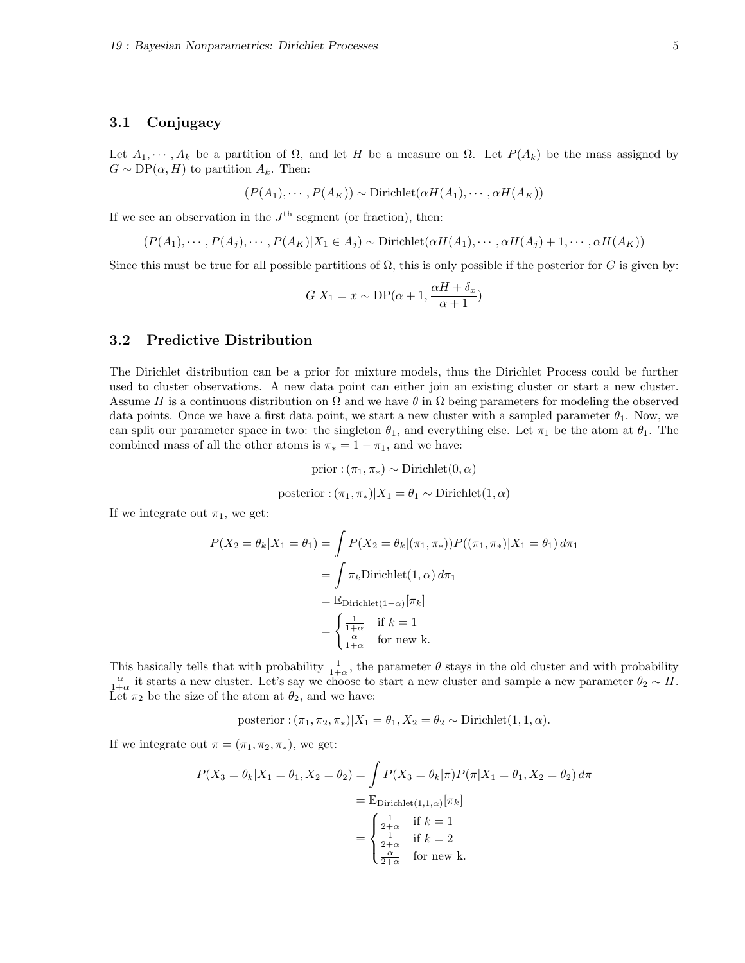#### 3.1 Conjugacy

Let  $A_1, \dots, A_k$  be a partition of  $\Omega$ , and let H be a measure on  $\Omega$ . Let  $P(A_k)$  be the mass assigned by  $G \sim DP(\alpha, H)$  to partition  $A_k$ . Then:

$$
(P(A_1), \cdots, P(A_K)) \sim \text{Dirichlet}(\alpha H(A_1), \cdots, \alpha H(A_K))
$$

If we see an observation in the  $J<sup>th</sup>$  segment (or fraction), then:

$$
(P(A_1),\cdots,P(A_j),\cdots,P(A_K)|X_1\in A_j) \sim \text{Dirichlet}(\alpha H(A_1),\cdots,\alpha H(A_j)+1,\cdots,\alpha H(A_K))
$$

Since this must be true for all possible partitions of  $\Omega$ , this is only possible if the posterior for G is given by:

$$
G|X_1 = x \sim \text{DP}(\alpha + 1, \frac{\alpha H + \delta_x}{\alpha + 1})
$$

### 3.2 Predictive Distribution

The Dirichlet distribution can be a prior for mixture models, thus the Dirichlet Process could be further used to cluster observations. A new data point can either join an existing cluster or start a new cluster. Assume H is a continuous distribution on  $\Omega$  and we have  $\theta$  in  $\Omega$  being parameters for modeling the observed data points. Once we have a first data point, we start a new cluster with a sampled parameter  $\theta_1$ . Now, we can split our parameter space in two: the singleton  $\theta_1$ , and everything else. Let  $\pi_1$  be the atom at  $\theta_1$ . The combined mass of all the other atoms is  $\pi_* = 1 - \pi_1$ , and we have:

$$
\text{prior}: (\pi_1, \pi_*) \sim \text{Dirichlet}(0, \alpha)
$$

posterior: 
$$
(\pi_1, \pi_*)|X_1 = \theta_1 \sim \text{Dirichlet}(1, \alpha)
$$

If we integrate out  $\pi_1$ , we get:

$$
P(X_2 = \theta_k | X_1 = \theta_1) = \int P(X_2 = \theta_k | (\pi_1, \pi_*)) P((\pi_1, \pi_*) | X_1 = \theta_1) d\pi_1
$$
  
= 
$$
\int \pi_k \text{Dirichlet}(1, \alpha) d\pi_1
$$
  
= 
$$
\mathbb{E}_{\text{Dirichlet}(1-\alpha)}[\pi_k]
$$
  
= 
$$
\begin{cases} \frac{1}{1+\alpha} & \text{if } k = 1 \\ \frac{\alpha}{1+\alpha} & \text{for new } k. \end{cases}
$$

This basically tells that with probability  $\frac{1}{1+\alpha}$ , the parameter  $\theta$  stays in the old cluster and with probability  $\frac{\alpha}{1+\alpha}$  it starts a new cluster. Let's say we choose to start a new cluster and sample a new parameter  $\theta_2 \sim H$ . Let  $\pi_2$  be the size of the atom at  $\theta_2$ , and we have:

posterior: 
$$
(\pi_1, \pi_2, \pi_*)|X_1 = \theta_1, X_2 = \theta_2 \sim \text{Dirichlet}(1, 1, \alpha).
$$

If we integrate out  $\pi = (\pi_1, \pi_2, \pi_*)$ , we get:

$$
P(X_3 = \theta_k | X_1 = \theta_1, X_2 = \theta_2) = \int P(X_3 = \theta_k | \pi) P(\pi | X_1 = \theta_1, X_2 = \theta_2) d\pi
$$
  
= 
$$
\mathbb{E}_{\text{Dirichlet}(1,1,\alpha)}[\pi_k]
$$
  
= 
$$
\begin{cases} \frac{1}{2+\alpha} & \text{if } k = 1\\ \frac{1}{2+\alpha} & \text{if } k = 2\\ \frac{\alpha}{2+\alpha} & \text{for new } k. \end{cases}
$$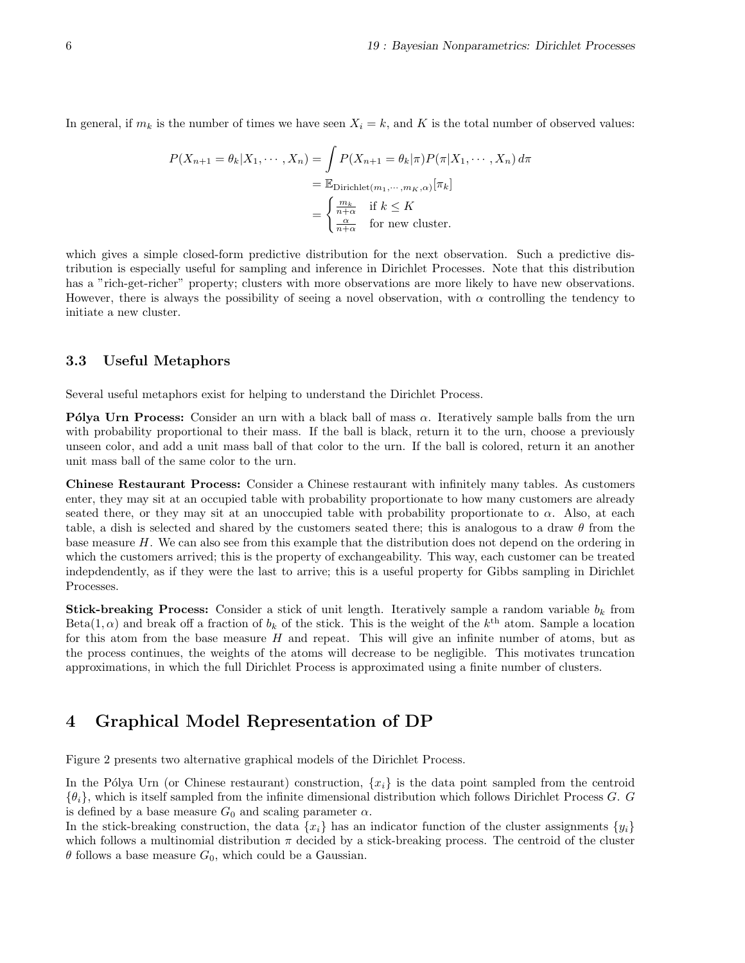In general, if  $m_k$  is the number of times we have seen  $X_i = k$ , and K is the total number of observed values:

$$
P(X_{n+1} = \theta_k | X_1, \cdots, X_n) = \int P(X_{n+1} = \theta_k | \pi) P(\pi | X_1, \cdots, X_n) d\pi
$$
  
= 
$$
\mathbb{E}_{\text{Dirichlet}(m_1, \cdots, m_K, \alpha)}[\pi_k]
$$
  
= 
$$
\begin{cases} \frac{m_k}{n+\alpha} & \text{if } k \leq K \\ \frac{\alpha}{n+\alpha} & \text{for new cluster.} \end{cases}
$$

which gives a simple closed-form predictive distribution for the next observation. Such a predictive distribution is especially useful for sampling and inference in Dirichlet Processes. Note that this distribution has a "rich-get-richer" property; clusters with more observations are more likely to have new observations. However, there is always the possibility of seeing a novel observation, with  $\alpha$  controlling the tendency to initiate a new cluster.

### 3.3 Useful Metaphors

Several useful metaphors exist for helping to understand the Dirichlet Process.

**P**ólya Urn Process: Consider an urn with a black ball of mass  $\alpha$ . Iteratively sample balls from the urn with probability proportional to their mass. If the ball is black, return it to the urn, choose a previously unseen color, and add a unit mass ball of that color to the urn. If the ball is colored, return it an another unit mass ball of the same color to the urn.

Chinese Restaurant Process: Consider a Chinese restaurant with infinitely many tables. As customers enter, they may sit at an occupied table with probability proportionate to how many customers are already seated there, or they may sit at an unoccupied table with probability proportionate to  $\alpha$ . Also, at each table, a dish is selected and shared by the customers seated there; this is analogous to a draw  $\theta$  from the base measure H. We can also see from this example that the distribution does not depend on the ordering in which the customers arrived; this is the property of exchangeability. This way, each customer can be treated indepdendently, as if they were the last to arrive; this is a useful property for Gibbs sampling in Dirichlet Processes.

**Stick-breaking Process:** Consider a stick of unit length. Iteratively sample a random variable  $b_k$  from Beta $(1, \alpha)$  and break off a fraction of  $b_k$  of the stick. This is the weight of the  $k^{\text{th}}$  atom. Sample a location for this atom from the base measure  $H$  and repeat. This will give an infinite number of atoms, but as the process continues, the weights of the atoms will decrease to be negligible. This motivates truncation approximations, in which the full Dirichlet Process is approximated using a finite number of clusters.

## 4 Graphical Model Representation of DP

Figure 2 presents two alternative graphical models of the Dirichlet Process.

In the Pólya Urn (or Chinese restaurant) construction,  $\{x_i\}$  is the data point sampled from the centroid  $\{\theta_i\}$ , which is itself sampled from the infinite dimensional distribution which follows Dirichlet Process G. G is defined by a base measure  $G_0$  and scaling parameter  $\alpha$ .

In the stick-breaking construction, the data  $\{x_i\}$  has an indicator function of the cluster assignments  $\{y_i\}$ which follows a multinomial distribution  $\pi$  decided by a stick-breaking process. The centroid of the cluster  $\theta$  follows a base measure  $G_0$ , which could be a Gaussian.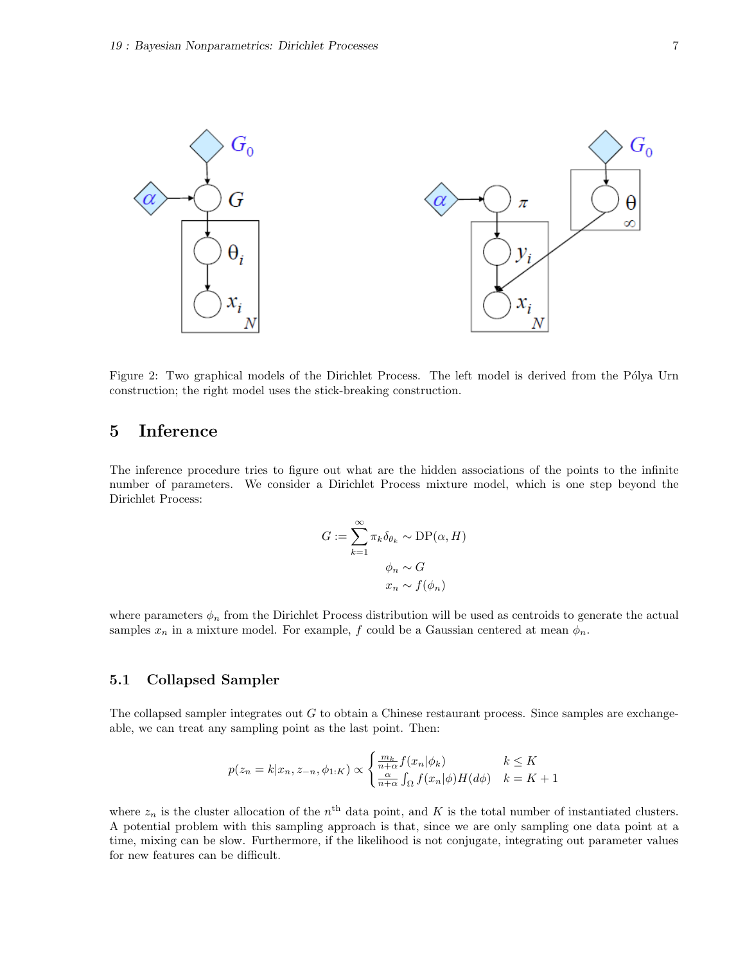

Figure 2: Two graphical models of the Dirichlet Process. The left model is derived from the Pólya Urn construction; the right model uses the stick-breaking construction.

## 5 Inference

The inference procedure tries to figure out what are the hidden associations of the points to the infinite number of parameters. We consider a Dirichlet Process mixture model, which is one step beyond the Dirichlet Process:

$$
G := \sum_{k=1}^{\infty} \pi_k \delta_{\theta_k} \sim \text{DP}(\alpha, H)
$$

$$
\phi_n \sim G
$$

$$
x_n \sim f(\phi_n)
$$

where parameters  $\phi_n$  from the Dirichlet Process distribution will be used as centroids to generate the actual samples  $x_n$  in a mixture model. For example, f could be a Gaussian centered at mean  $\phi_n$ .

#### 5.1 Collapsed Sampler

The collapsed sampler integrates out  $G$  to obtain a Chinese restaurant process. Since samples are exchangeable, we can treat any sampling point as the last point. Then:

$$
p(z_n = k | x_n, z_{-n}, \phi_{1:K}) \propto \begin{cases} \frac{m_k}{n + \alpha} f(x_n | \phi_k) & k \le K\\ \frac{\alpha}{n + \alpha} \int_{\Omega} f(x_n | \phi) H(d\phi) & k = K + 1 \end{cases}
$$

where  $z_n$  is the cluster allocation of the  $n<sup>th</sup>$  data point, and K is the total number of instantiated clusters. A potential problem with this sampling approach is that, since we are only sampling one data point at a time, mixing can be slow. Furthermore, if the likelihood is not conjugate, integrating out parameter values for new features can be difficult.